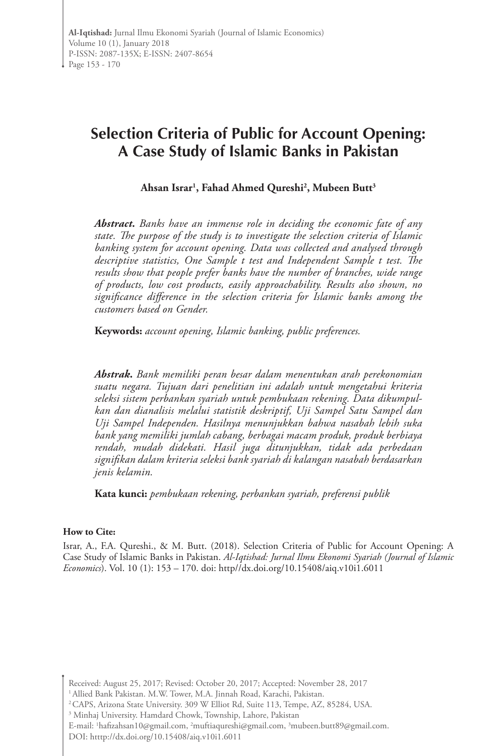# **Selection Criteria of Public for Account Opening: A Case Study of Islamic Banks in Pakistan**

**Ahsan Israr1 , Fahad Ahmed Qureshi2 , Mubeen Butt3**

*Abstract. Banks have an immense role in deciding the economic fate of any state. The purpose of the study is to investigate the selection criteria of Islamic banking system for account opening. Data was collected and analysed through descriptive statistics, One Sample t test and Independent Sample t test. The results show that people prefer banks have the number of branches, wide range of products, low cost products, easily approachability. Results also shown, no significance difference in the selection criteria for Islamic banks among the customers based on Gender.* 

**Keywords:** *account opening, Islamic banking, public preferences.* 

*Abstrak***.** *Bank memiliki peran besar dalam menentukan arah perekonomian suatu negara. Tujuan dari penelitian ini adalah untuk mengetahui kriteria seleksi sistem perbankan syariah untuk pembukaan rekening. Data dikumpulkan dan dianalisis melalui statistik deskriptif, Uji Sampel Satu Sampel dan Uji Sampel Independen. Hasilnya menunjukkan bahwa nasabah lebih suka bank yang memiliki jumlah cabang, berbagai macam produk, produk berbiaya rendah, mudah didekati. Hasil juga ditunjukkan, tidak ada perbedaan signifikan dalam kriteria seleksi bank syariah di kalangan nasabah berdasarkan jenis kelamin.*

**Kata kunci:** *pembukaan rekening, perbankan syariah, preferensi publik*

#### **How to Cite:**

Israr, A., F.A. Qureshi., & M. Butt. (2018). Selection Criteria of Public for Account Opening: A Case Study of Islamic Banks in Pakistan. *Al-Iqtishad: Jurnal Ilmu Ekonomi Syariah (Journal of Islamic Economics*). Vol. 10 (1): 153 – 170. doi: http//dx.doi.org/10.15408/aiq.v10i1.6011

E-mail: <sup>1</sup>hafizahsan10@gmail.com, <sup>2</sup>muftiaqureshi@gmail.com, <sup>3</sup>mubeen.butt89@gmail.com. DOI: htttp://dx.doi.org/10.15408/aiq.v10i1.6011

Received: August 25, 2017; Revised: October 20, 2017; Accepted: November 28, 2017

<sup>1</sup> Allied Bank Pakistan. M.W. Tower, M.A. Jinnah Road, Karachi, Pakistan.

<sup>2</sup> CAPS, Arizona State University. 309 W Elliot Rd, Suite 113, Tempe, AZ, 85284, USA.

<sup>&</sup>lt;sup>3</sup> Minhaj University. Hamdard Chowk, Township, Lahore, Pakistan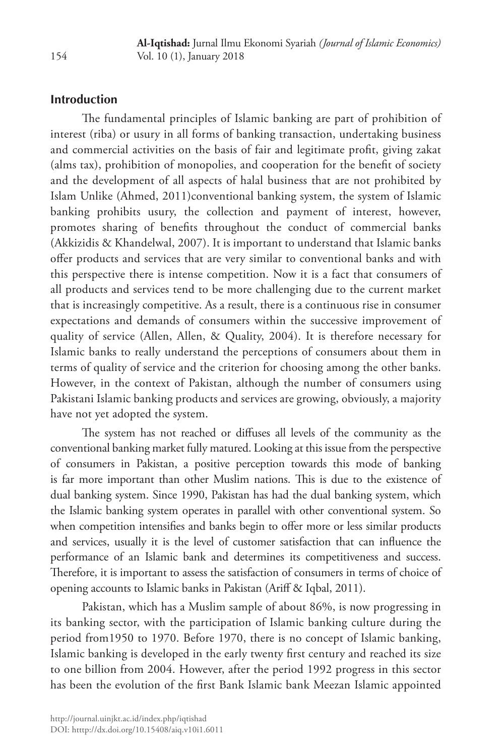# **Introduction**

The fundamental principles of Islamic banking are part of prohibition of interest (riba) or usury in all forms of banking transaction, undertaking business and commercial activities on the basis of fair and legitimate profit, giving zakat (alms tax), prohibition of monopolies, and cooperation for the benefit of society and the development of all aspects of halal business that are not prohibited by Islam Unlike (Ahmed, 2011)conventional banking system, the system of Islamic banking prohibits usury, the collection and payment of interest, however, promotes sharing of benefits throughout the conduct of commercial banks (Akkizidis & Khandelwal, 2007). It is important to understand that Islamic banks offer products and services that are very similar to conventional banks and with this perspective there is intense competition. Now it is a fact that consumers of all products and services tend to be more challenging due to the current market that is increasingly competitive. As a result, there is a continuous rise in consumer expectations and demands of consumers within the successive improvement of quality of service (Allen, Allen, & Quality, 2004). It is therefore necessary for Islamic banks to really understand the perceptions of consumers about them in terms of quality of service and the criterion for choosing among the other banks. However, in the context of Pakistan, although the number of consumers using Pakistani Islamic banking products and services are growing, obviously, a majority have not yet adopted the system.

The system has not reached or diffuses all levels of the community as the conventional banking market fully matured. Looking at this issue from the perspective of consumers in Pakistan, a positive perception towards this mode of banking is far more important than other Muslim nations. This is due to the existence of dual banking system. Since 1990, Pakistan has had the dual banking system, which the Islamic banking system operates in parallel with other conventional system. So when competition intensifies and banks begin to offer more or less similar products and services, usually it is the level of customer satisfaction that can influence the performance of an Islamic bank and determines its competitiveness and success. Therefore, it is important to assess the satisfaction of consumers in terms of choice of opening accounts to Islamic banks in Pakistan (Ariff & Iqbal, 2011).

Pakistan, which has a Muslim sample of about 86%, is now progressing in its banking sector, with the participation of Islamic banking culture during the period from1950 to 1970. Before 1970, there is no concept of Islamic banking, Islamic banking is developed in the early twenty first century and reached its size to one billion from 2004. However, after the period 1992 progress in this sector has been the evolution of the first Bank Islamic bank Meezan Islamic appointed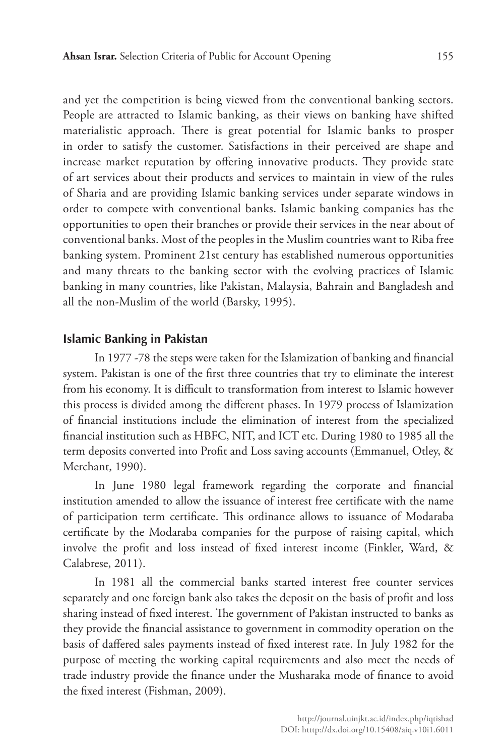and yet the competition is being viewed from the conventional banking sectors. People are attracted to Islamic banking, as their views on banking have shifted materialistic approach. There is great potential for Islamic banks to prosper in order to satisfy the customer. Satisfactions in their perceived are shape and increase market reputation by offering innovative products. They provide state of art services about their products and services to maintain in view of the rules of Sharia and are providing Islamic banking services under separate windows in order to compete with conventional banks. Islamic banking companies has the opportunities to open their branches or provide their services in the near about of conventional banks. Most of the peoples in the Muslim countries want to Riba free banking system. Prominent 21st century has established numerous opportunities and many threats to the banking sector with the evolving practices of Islamic banking in many countries, like Pakistan, Malaysia, Bahrain and Bangladesh and all the non-Muslim of the world (Barsky, 1995).

# **Islamic Banking in Pakistan**

In 1977 -78 the steps were taken for the Islamization of banking and financial system. Pakistan is one of the first three countries that try to eliminate the interest from his economy. It is difficult to transformation from interest to Islamic however this process is divided among the different phases. In 1979 process of Islamization of financial institutions include the elimination of interest from the specialized financial institution such as HBFC, NIT, and ICT etc. During 1980 to 1985 all the term deposits converted into Profit and Loss saving accounts (Emmanuel, Otley, & Merchant, 1990).

In June 1980 legal framework regarding the corporate and financial institution amended to allow the issuance of interest free certificate with the name of participation term certificate. This ordinance allows to issuance of Modaraba certificate by the Modaraba companies for the purpose of raising capital, which involve the profit and loss instead of fixed interest income (Finkler, Ward, & Calabrese, 2011).

In 1981 all the commercial banks started interest free counter services separately and one foreign bank also takes the deposit on the basis of profit and loss sharing instead of fixed interest. The government of Pakistan instructed to banks as they provide the financial assistance to government in commodity operation on the basis of daffered sales payments instead of fixed interest rate. In July 1982 for the purpose of meeting the working capital requirements and also meet the needs of trade industry provide the finance under the Musharaka mode of finance to avoid the fixed interest (Fishman, 2009).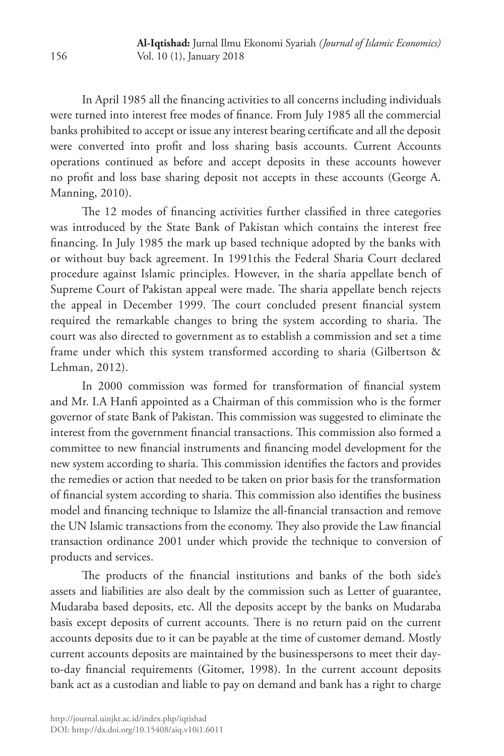In April 1985 all the financing activities to all concerns including individuals were turned into interest free modes of finance. From July 1985 all the commercial banks prohibited to accept or issue any interest bearing certificate and all the deposit were converted into profit and loss sharing basis accounts. Current Accounts operations continued as before and accept deposits in these accounts however no profit and loss base sharing deposit not accepts in these accounts (George A. Manning, 2010).

The 12 modes of financing activities further classified in three categories was introduced by the State Bank of Pakistan which contains the interest free financing. In July 1985 the mark up based technique adopted by the banks with or without buy back agreement. In 1991this the Federal Sharia Court declared procedure against Islamic principles. However, in the sharia appellate bench of Supreme Court of Pakistan appeal were made. The sharia appellate bench rejects the appeal in December 1999. The court concluded present financial system required the remarkable changes to bring the system according to sharia. The court was also directed to government as to establish a commission and set a time frame under which this system transformed according to sharia (Gilbertson & Lehman, 2012).

In 2000 commission was formed for transformation of financial system and Mr. I.A Hanfi appointed as a Chairman of this commission who is the former governor of state Bank of Pakistan. This commission was suggested to eliminate the interest from the government financial transactions. This commission also formed a committee to new financial instruments and financing model development for the new system according to sharia. This commission identifies the factors and provides the remedies or action that needed to be taken on prior basis for the transformation of financial system according to sharia. This commission also identifies the business model and financing technique to Islamize the all-financial transaction and remove the UN Islamic transactions from the economy. They also provide the Law financial transaction ordinance 2001 under which provide the technique to conversion of products and services.

The products of the financial institutions and banks of the both side's assets and liabilities are also dealt by the commission such as Letter of guarantee, Mudaraba based deposits, etc. All the deposits accept by the banks on Mudaraba basis except deposits of current accounts. There is no return paid on the current accounts deposits due to it can be payable at the time of customer demand. Mostly current accounts deposits are maintained by the businesspersons to meet their dayto-day financial requirements (Gitomer, 1998). In the current account deposits bank act as a custodian and liable to pay on demand and bank has a right to charge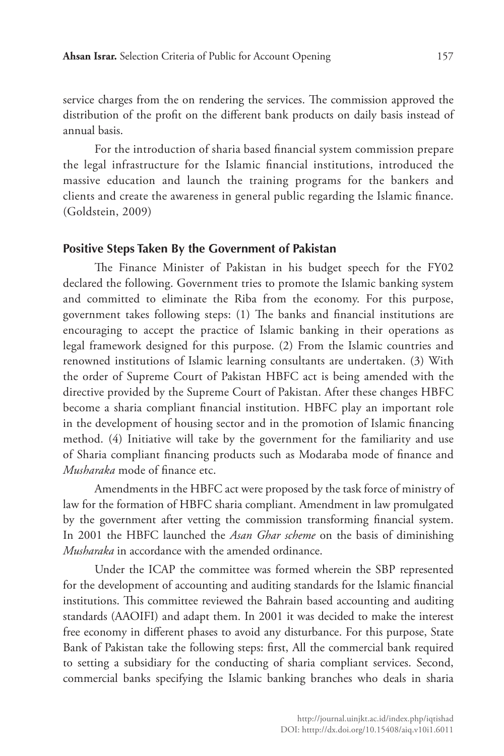service charges from the on rendering the services. The commission approved the distribution of the profit on the different bank products on daily basis instead of annual basis.

For the introduction of sharia based financial system commission prepare the legal infrastructure for the Islamic financial institutions, introduced the massive education and launch the training programs for the bankers and clients and create the awareness in general public regarding the Islamic finance. (Goldstein, 2009)

#### **Positive Steps Taken By the Government of Pakistan**

The Finance Minister of Pakistan in his budget speech for the FY02 declared the following. Government tries to promote the Islamic banking system and committed to eliminate the Riba from the economy. For this purpose, government takes following steps: (1) The banks and financial institutions are encouraging to accept the practice of Islamic banking in their operations as legal framework designed for this purpose. (2) From the Islamic countries and renowned institutions of Islamic learning consultants are undertaken. (3) With the order of Supreme Court of Pakistan HBFC act is being amended with the directive provided by the Supreme Court of Pakistan. After these changes HBFC become a sharia compliant financial institution. HBFC play an important role in the development of housing sector and in the promotion of Islamic financing method. (4) Initiative will take by the government for the familiarity and use of Sharia compliant financing products such as Modaraba mode of finance and *Musharaka* mode of finance etc.

Amendments in the HBFC act were proposed by the task force of ministry of law for the formation of HBFC sharia compliant. Amendment in law promulgated by the government after vetting the commission transforming financial system. In 2001 the HBFC launched the *Asan Ghar scheme* on the basis of diminishing *Musharaka* in accordance with the amended ordinance.

Under the ICAP the committee was formed wherein the SBP represented for the development of accounting and auditing standards for the Islamic financial institutions. This committee reviewed the Bahrain based accounting and auditing standards (AAOIFI) and adapt them. In 2001 it was decided to make the interest free economy in different phases to avoid any disturbance. For this purpose, State Bank of Pakistan take the following steps: first, All the commercial bank required to setting a subsidiary for the conducting of sharia compliant services. Second, commercial banks specifying the Islamic banking branches who deals in sharia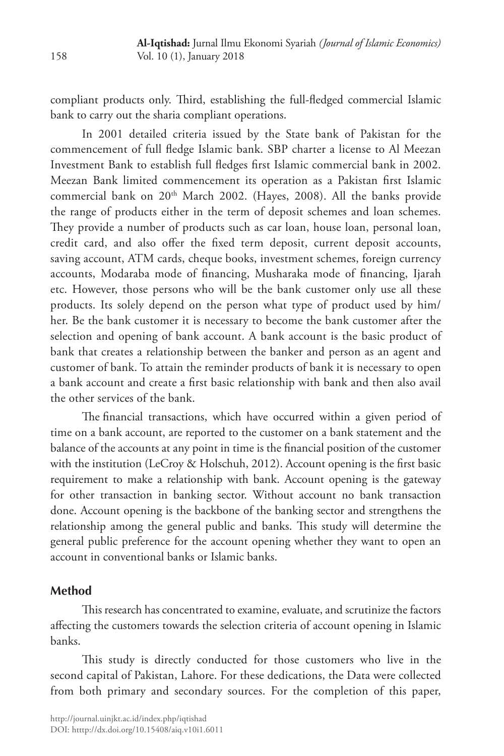compliant products only. Third, establishing the full-fledged commercial Islamic bank to carry out the sharia compliant operations.

In 2001 detailed criteria issued by the State bank of Pakistan for the commencement of full fledge Islamic bank. SBP charter a license to Al Meezan Investment Bank to establish full fledges first Islamic commercial bank in 2002. Meezan Bank limited commencement its operation as a Pakistan first Islamic commercial bank on 20<sup>th</sup> March 2002. (Hayes, 2008). All the banks provide the range of products either in the term of deposit schemes and loan schemes. They provide a number of products such as car loan, house loan, personal loan, credit card, and also offer the fixed term deposit, current deposit accounts, saving account, ATM cards, cheque books, investment schemes, foreign currency accounts, Modaraba mode of financing, Musharaka mode of financing, Ijarah etc. However, those persons who will be the bank customer only use all these products. Its solely depend on the person what type of product used by him/ her. Be the bank customer it is necessary to become the bank customer after the selection and opening of bank account. A bank account is the basic product of bank that creates a relationship between the banker and person as an agent and customer of bank. To attain the reminder products of bank it is necessary to open a bank account and create a first basic relationship with bank and then also avail the other services of the bank.

The financial transactions, which have occurred within a given period of time on a bank account, are reported to the customer on a bank statement and the balance of the accounts at any point in time is the financial position of the customer with the institution (LeCroy & Holschuh, 2012). Account opening is the first basic requirement to make a relationship with bank. Account opening is the gateway for other transaction in banking sector. Without account no bank transaction done. Account opening is the backbone of the banking sector and strengthens the relationship among the general public and banks. This study will determine the general public preference for the account opening whether they want to open an account in conventional banks or Islamic banks.

# **Method**

This research has concentrated to examine, evaluate, and scrutinize the factors affecting the customers towards the selection criteria of account opening in Islamic banks.

This study is directly conducted for those customers who live in the second capital of Pakistan, Lahore. For these dedications, the Data were collected from both primary and secondary sources. For the completion of this paper,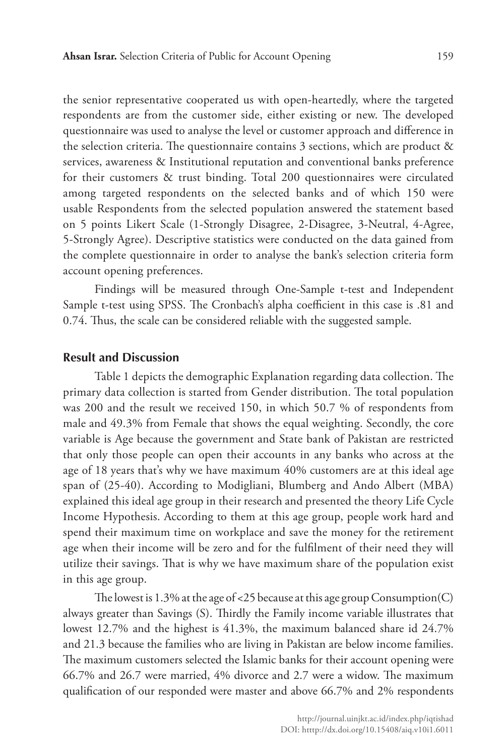the senior representative cooperated us with open-heartedly, where the targeted respondents are from the customer side, either existing or new. The developed questionnaire was used to analyse the level or customer approach and difference in the selection criteria. The questionnaire contains 3 sections, which are product & services, awareness & Institutional reputation and conventional banks preference for their customers & trust binding. Total 200 questionnaires were circulated among targeted respondents on the selected banks and of which 150 were usable Respondents from the selected population answered the statement based on 5 points Likert Scale (1-Strongly Disagree, 2-Disagree, 3-Neutral, 4-Agree, 5-Strongly Agree). Descriptive statistics were conducted on the data gained from the complete questionnaire in order to analyse the bank's selection criteria form account opening preferences.

Findings will be measured through One-Sample t-test and Independent Sample t-test using SPSS. The Cronbach's alpha coefficient in this case is .81 and 0.74. Thus, the scale can be considered reliable with the suggested sample.

#### **Result and Discussion**

Table 1 depicts the demographic Explanation regarding data collection. The primary data collection is started from Gender distribution. The total population was 200 and the result we received 150, in which 50.7 % of respondents from male and 49.3% from Female that shows the equal weighting. Secondly, the core variable is Age because the government and State bank of Pakistan are restricted that only those people can open their accounts in any banks who across at the age of 18 years that's why we have maximum 40% customers are at this ideal age span of (25-40). According to Modigliani, Blumberg and Ando Albert (MBA) explained this ideal age group in their research and presented the theory Life Cycle Income Hypothesis. According to them at this age group, people work hard and spend their maximum time on workplace and save the money for the retirement age when their income will be zero and for the fulfilment of their need they will utilize their savings. That is why we have maximum share of the population exist in this age group.

The lowest is 1.3% at the age of <25 because at this age group  $\mathsf{Consumption}(C)$ always greater than Savings (S). Thirdly the Family income variable illustrates that lowest 12.7% and the highest is 41.3%, the maximum balanced share id 24.7% and 21.3 because the families who are living in Pakistan are below income families. The maximum customers selected the Islamic banks for their account opening were 66.7% and 26.7 were married, 4% divorce and 2.7 were a widow. The maximum qualification of our responded were master and above 66.7% and 2% respondents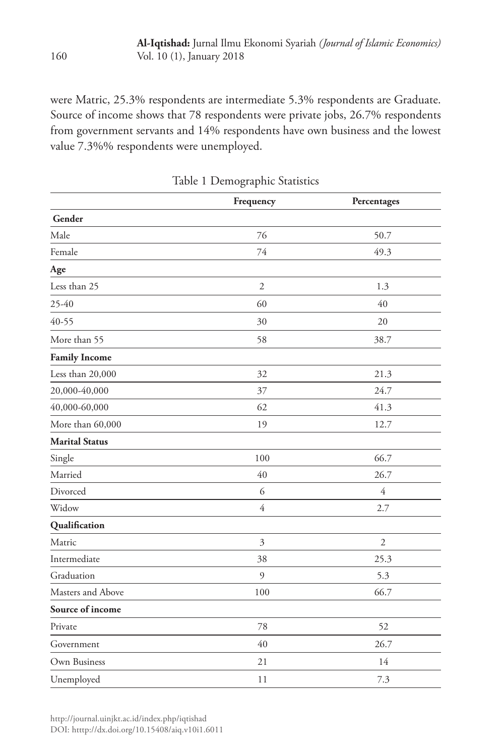were Matric, 25.3% respondents are intermediate 5.3% respondents are Graduate. Source of income shows that 78 respondents were private jobs, 26.7% respondents from government servants and 14% respondents have own business and the lowest value 7.3%% respondents were unemployed.

|                       | Frequency      | Percentages    |
|-----------------------|----------------|----------------|
| Gender                |                |                |
| Male                  | 76             | 50.7           |
| Female                | 74             | 49.3           |
| Age                   |                |                |
| Less than 25          | $\sqrt{2}$     | 1.3            |
| 25-40                 | 60             | 40             |
| 40-55                 | 30             | 20             |
| More than 55          | 58             | 38.7           |
| <b>Family Income</b>  |                |                |
| Less than 20,000      | 32             | 21.3           |
| 20,000-40,000         | 37             | 24.7           |
| 40,000-60,000         | 62             | 41.3           |
| More than 60,000      | 19             | 12.7           |
| <b>Marital Status</b> |                |                |
| Single                | 100            | 66.7           |
| Married               | 40             | 26.7           |
| Divorced              | 6              | $\overline{4}$ |
| Widow                 | $\overline{4}$ | 2.7            |
| Qualification         |                |                |
| Matric                | 3              | $\overline{2}$ |
| Intermediate          | 38             | 25.3           |
| Graduation            | 9              | 5.3            |
| Masters and Above     | 100            | 66.7           |
| Source of income      |                |                |
| Private               | 78             | 52             |
| Government            | 40             | 26.7           |
| Own Business          | 21             | 14             |
| Unemployed            | 11             | 7.3            |

Table 1 Demographic Statistics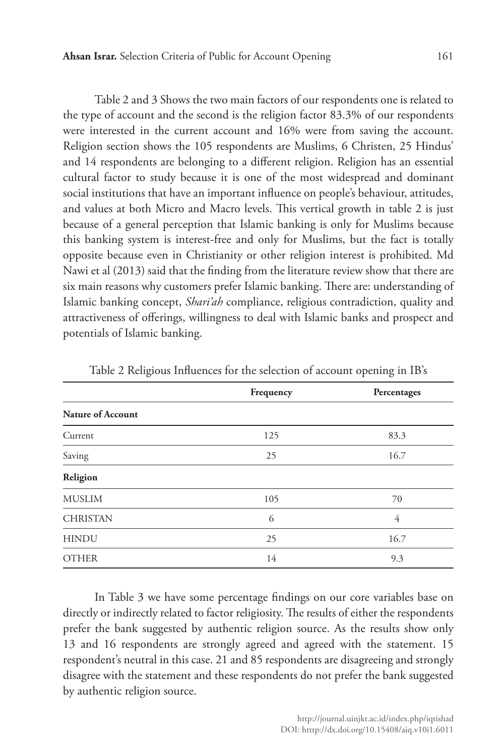Table 2 and 3 Shows the two main factors of our respondents one is related to the type of account and the second is the religion factor 83.3% of our respondents were interested in the current account and 16% were from saving the account. Religion section shows the 105 respondents are Muslims, 6 Christen, 25 Hindus' and 14 respondents are belonging to a different religion. Religion has an essential cultural factor to study because it is one of the most widespread and dominant social institutions that have an important influence on people's behaviour, attitudes, and values at both Micro and Macro levels. This vertical growth in table 2 is just because of a general perception that Islamic banking is only for Muslims because this banking system is interest-free and only for Muslims, but the fact is totally opposite because even in Christianity or other religion interest is prohibited. Md Nawi et al (2013) said that the finding from the literature review show that there are six main reasons why customers prefer Islamic banking. There are: understanding of Islamic banking concept, *Shari'ah* compliance, religious contradiction, quality and attractiveness of offerings, willingness to deal with Islamic banks and prospect and potentials of Islamic banking.

|                   | Frequency | Percentages |  |
|-------------------|-----------|-------------|--|
| Nature of Account |           |             |  |
| Current           | 125       | 83.3        |  |
| Saving            | 25        | 16.7        |  |
| Religion          |           |             |  |
| <b>MUSLIM</b>     | 105       | 70          |  |
| <b>CHRISTAN</b>   | 6         | 4           |  |
| <b>HINDU</b>      | 25        | 16.7        |  |
| <b>OTHER</b>      | 14        | 9.3         |  |

Table 2 Religious Influences for the selection of account opening in IB's

In Table 3 we have some percentage findings on our core variables base on directly or indirectly related to factor religiosity. The results of either the respondents prefer the bank suggested by authentic religion source. As the results show only 13 and 16 respondents are strongly agreed and agreed with the statement. 15 respondent's neutral in this case. 21 and 85 respondents are disagreeing and strongly disagree with the statement and these respondents do not prefer the bank suggested by authentic religion source.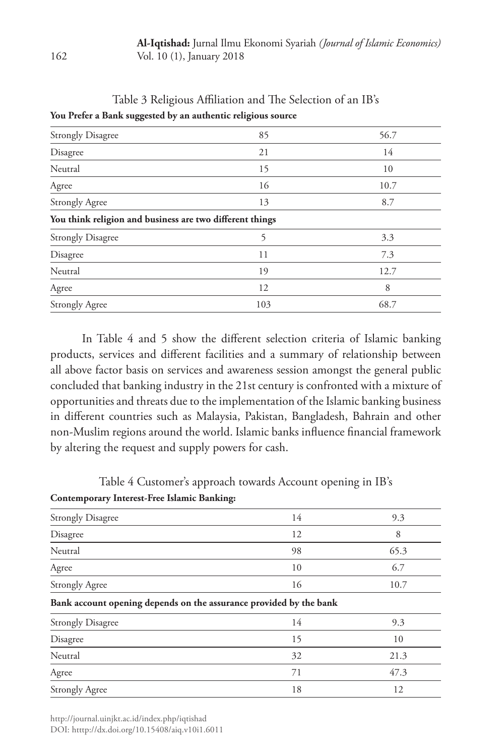| Table 3 Religious Affiliation and The Selection of an IB's |  |
|------------------------------------------------------------|--|
|------------------------------------------------------------|--|

| oo                                                       | $\bullet$ |      |
|----------------------------------------------------------|-----------|------|
| <b>Strongly Disagree</b>                                 | 85        | 56.7 |
| Disagree                                                 | 21        | 14   |
| Neutral                                                  | 15        | 10   |
| Agree                                                    | 16        | 10.7 |
| <b>Strongly Agree</b>                                    | 13        | 8.7  |
| You think religion and business are two different things |           |      |
| <b>Strongly Disagree</b>                                 | 5         | 3.3  |
| Disagree                                                 | 11        | 7.3  |
| Neutral                                                  | 19        | 12.7 |
| Agree                                                    | 12        | 8    |
| <b>Strongly Agree</b>                                    | 103       | 68.7 |
|                                                          |           |      |

**You Prefer a Bank suggested by an authentic religious source**

In Table 4 and 5 show the different selection criteria of Islamic banking products, services and different facilities and a summary of relationship between all above factor basis on services and awareness session amongst the general public concluded that banking industry in the 21st century is confronted with a mixture of opportunities and threats due to the implementation of the Islamic banking business in different countries such as Malaysia, Pakistan, Bangladesh, Bahrain and other non-Muslim regions around the world. Islamic banks influence financial framework by altering the request and supply powers for cash.

Table 4 Customer's approach towards Account opening in IB's

# **Contemporary Interest-Free Islamic Banking:**

| <b>Strongly Disagree</b>                                           | 14 | 9.3  |
|--------------------------------------------------------------------|----|------|
| Disagree                                                           | 12 | 8    |
| Neutral                                                            | 98 | 65.3 |
| Agree                                                              | 10 | 6.7  |
| <b>Strongly Agree</b>                                              | 16 | 10.7 |
| Bank account opening depends on the assurance provided by the bank |    |      |
| <b>Strongly Disagree</b>                                           | 14 | 9.3  |
| Disagree                                                           | 15 | 10   |
| Neutral                                                            | 32 | 21.3 |
| Agree                                                              | 71 | 47.3 |
| <b>Strongly Agree</b>                                              | 18 | 12   |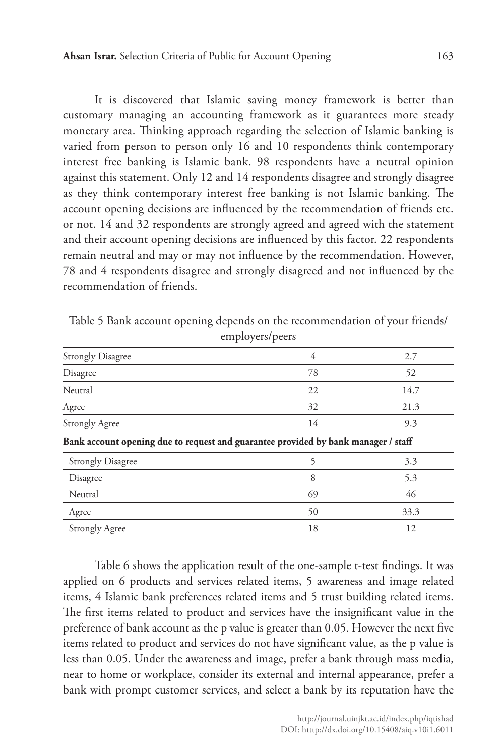It is discovered that Islamic saving money framework is better than customary managing an accounting framework as it guarantees more steady monetary area. Thinking approach regarding the selection of Islamic banking is varied from person to person only 16 and 10 respondents think contemporary interest free banking is Islamic bank. 98 respondents have a neutral opinion against this statement. Only 12 and 14 respondents disagree and strongly disagree as they think contemporary interest free banking is not Islamic banking. The account opening decisions are influenced by the recommendation of friends etc. or not. 14 and 32 respondents are strongly agreed and agreed with the statement and their account opening decisions are influenced by this factor. 22 respondents remain neutral and may or may not influence by the recommendation. However, 78 and 4 respondents disagree and strongly disagreed and not influenced by the recommendation of friends.

| <b>Strongly Disagree</b>                                                           | 4  | 2.7  |
|------------------------------------------------------------------------------------|----|------|
| Disagree                                                                           | 78 | 52   |
| Neutral                                                                            | 22 | 14.7 |
| Agree                                                                              | 32 | 21.3 |
| <b>Strongly Agree</b>                                                              | 14 | 9.3  |
| Bank account opening due to request and guarantee provided by bank manager / staff |    |      |
| <b>Strongly Disagree</b>                                                           | 5  | 3.3  |
| Disagree                                                                           | 8  | 5.3  |
| Neutral                                                                            | 69 | 46   |
| Agree                                                                              | 50 | 33.3 |
| <b>Strongly Agree</b>                                                              | 18 | 12   |

Table 5 Bank account opening depends on the recommendation of your friends/ employers/peers

Table 6 shows the application result of the one-sample t-test findings. It was applied on 6 products and services related items, 5 awareness and image related items, 4 Islamic bank preferences related items and 5 trust building related items. The first items related to product and services have the insignificant value in the preference of bank account as the p value is greater than 0.05. However the next five items related to product and services do not have significant value, as the p value is less than 0.05. Under the awareness and image, prefer a bank through mass media, near to home or workplace, consider its external and internal appearance, prefer a bank with prompt customer services, and select a bank by its reputation have the

http://journal.uinjkt.ac.id/index.php/iqtishad DOI: htttp://dx.doi.org/10.15408/aiq.v10i1.6011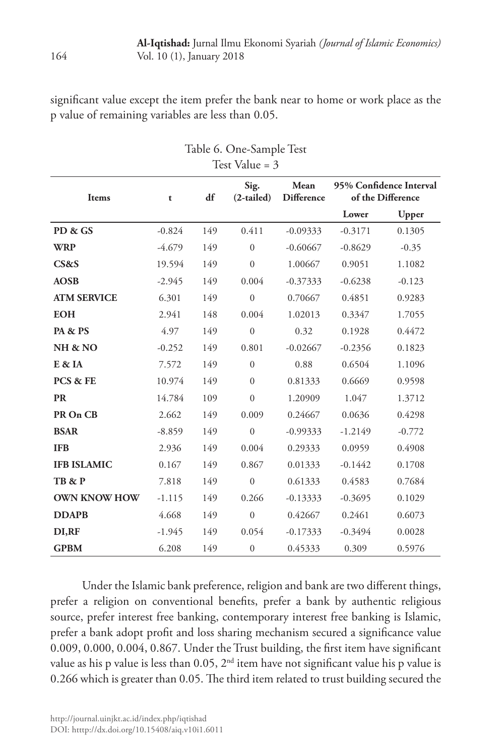significant value except the item prefer the bank near to home or work place as the p value of remaining variables are less than 0.05.

| Test Value = $3$    |          |     |                      |                                                |                                              |          |
|---------------------|----------|-----|----------------------|------------------------------------------------|----------------------------------------------|----------|
| Items               | t        | df  | Sig.<br>$(2-tailed)$ | ${\bf Mean}$<br>$\mathop{\mathsf{Difference}}$ | 95% Confidence Interval<br>of the Difference |          |
|                     |          |     |                      |                                                | Lower                                        | Upper    |
| PD & GS             | $-0.824$ | 149 | 0.411                | $-0.09333$                                     | $-0.3171$                                    | 0.1305   |
| <b>WRP</b>          | $-4.679$ | 149 | $\Omega$             | $-0.60667$                                     | $-0.8629$                                    | $-0.35$  |
| CS&S                | 19.594   | 149 | $\boldsymbol{0}$     | 1.00667                                        | 0.9051                                       | 1.1082   |
| <b>AOSB</b>         | $-2.945$ | 149 | $0.004\,$            | $-0.37333$                                     | $-0.6238$                                    | $-0.123$ |
| <b>ATM SERVICE</b>  | 6.301    | 149 | $\overline{0}$       | 0.70667                                        | 0.4851                                       | 0.9283   |
| <b>EOH</b>          | 2.941    | 148 | 0.004                | 1.02013                                        | 0.3347                                       | 1.7055   |
| PA & PS             | 4.97     | 149 | $\mathbf{0}$         | 0.32                                           | 0.1928                                       | 0.4472   |
| NH & NO             | $-0.252$ | 149 | 0.801                | $-0.02667$                                     | $-0.2356$                                    | 0.1823   |
| E & IA              | 7.572    | 149 | $\Omega$             | 0.88                                           | 0.6504                                       | 1.1096   |
| PCS & FE            | 10.974   | 149 | $\mathbf{0}$         | 0.81333                                        | 0.6669                                       | 0.9598   |
| <b>PR</b>           | 14.784   | 109 | $\mathbf{0}$         | 1.20909                                        | 1.047                                        | 1.3712   |
| PR On CB            | 2.662    | 149 | 0.009                | 0.24667                                        | 0.0636                                       | 0.4298   |
| <b>BSAR</b>         | $-8.859$ | 149 | $\boldsymbol{0}$     | $-0.99333$                                     | $-1.2149$                                    | $-0.772$ |
| <b>IFB</b>          | 2.936    | 149 | 0.004                | 0.29333                                        | 0.0959                                       | 0.4908   |
| <b>IFB ISLAMIC</b>  | 0.167    | 149 | 0.867                | 0.01333                                        | $-0.1442$                                    | 0.1708   |
| TB & P              | 7.818    | 149 | $\mathbf{0}$         | 0.61333                                        | 0.4583                                       | 0.7684   |
| <b>OWN KNOW HOW</b> | $-1.115$ | 149 | 0.266                | $-0.13333$                                     | $-0.3695$                                    | 0.1029   |
| <b>DDAPB</b>        | 4.668    | 149 | $\mathbf{0}$         | 0.42667                                        | 0.2461                                       | 0.6073   |
| DI,RF               | $-1.945$ | 149 | 0.054                | $-0.17333$                                     | $-0.3494$                                    | 0.0028   |
| <b>GPBM</b>         | 6.208    | 149 | $\boldsymbol{0}$     | 0.45333                                        | 0.309                                        | 0.5976   |

Table 6. One-Sample Test

Under the Islamic bank preference, religion and bank are two different things, prefer a religion on conventional benefits, prefer a bank by authentic religious source, prefer interest free banking, contemporary interest free banking is Islamic, prefer a bank adopt profit and loss sharing mechanism secured a significance value 0.009, 0.000, 0.004, 0.867. Under the Trust building, the first item have significant value as his p value is less than  $0.05$ ,  $2<sup>nd</sup>$  item have not significant value his p value is 0.266 which is greater than 0.05. The third item related to trust building secured the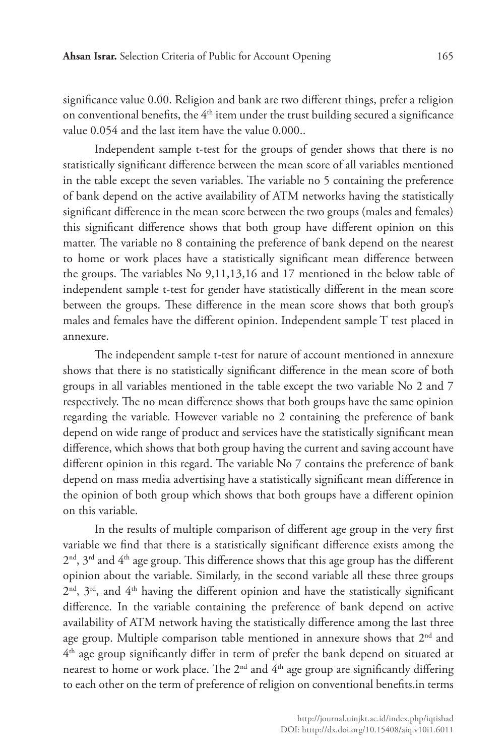significance value 0.00. Religion and bank are two different things, prefer a religion on conventional benefits, the  $4<sup>th</sup>$  item under the trust building secured a significance value 0.054 and the last item have the value 0.000..

Independent sample t-test for the groups of gender shows that there is no statistically significant difference between the mean score of all variables mentioned in the table except the seven variables. The variable no 5 containing the preference of bank depend on the active availability of ATM networks having the statistically significant difference in the mean score between the two groups (males and females) this significant difference shows that both group have different opinion on this matter. The variable no 8 containing the preference of bank depend on the nearest to home or work places have a statistically significant mean difference between the groups. The variables No 9,11,13,16 and 17 mentioned in the below table of independent sample t-test for gender have statistically different in the mean score between the groups. These difference in the mean score shows that both group's males and females have the different opinion. Independent sample T test placed in annexure.

The independent sample t-test for nature of account mentioned in annexure shows that there is no statistically significant difference in the mean score of both groups in all variables mentioned in the table except the two variable No 2 and 7 respectively. The no mean difference shows that both groups have the same opinion regarding the variable. However variable no 2 containing the preference of bank depend on wide range of product and services have the statistically significant mean difference, which shows that both group having the current and saving account have different opinion in this regard. The variable No 7 contains the preference of bank depend on mass media advertising have a statistically significant mean difference in the opinion of both group which shows that both groups have a different opinion on this variable.

In the results of multiple comparison of different age group in the very first variable we find that there is a statistically significant difference exists among the  $2<sup>nd</sup>$ ,  $3<sup>rd</sup>$  and  $4<sup>th</sup>$  age group. This difference shows that this age group has the different opinion about the variable. Similarly, in the second variable all these three groups 2nd, 3rd, and 4th having the different opinion and have the statistically significant difference. In the variable containing the preference of bank depend on active availability of ATM network having the statistically difference among the last three age group. Multiple comparison table mentioned in annexure shows that 2<sup>nd</sup> and 4th age group significantly differ in term of prefer the bank depend on situated at nearest to home or work place. The  $2<sup>nd</sup>$  and  $4<sup>th</sup>$  age group are significantly differing to each other on the term of preference of religion on conventional benefits.in terms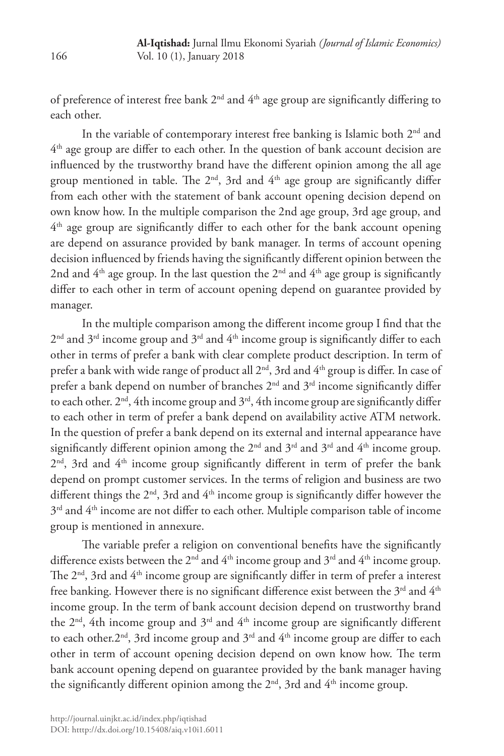of preference of interest free bank  $2<sup>nd</sup>$  and  $4<sup>th</sup>$  age group are significantly differing to each other.

In the variable of contemporary interest free banking is Islamic both 2nd and  $4<sup>th</sup>$  age group are differ to each other. In the question of bank account decision are influenced by the trustworthy brand have the different opinion among the all age group mentioned in table. The  $2<sup>nd</sup>$ , 3rd and  $4<sup>th</sup>$  age group are significantly differ from each other with the statement of bank account opening decision depend on own know how. In the multiple comparison the 2nd age group, 3rd age group, and  $4<sup>th</sup>$  age group are significantly differ to each other for the bank account opening are depend on assurance provided by bank manager. In terms of account opening decision influenced by friends having the significantly different opinion between the 2nd and  $4<sup>th</sup>$  age group. In the last question the  $2<sup>nd</sup>$  and  $4<sup>th</sup>$  age group is significantly differ to each other in term of account opening depend on guarantee provided by manager.

In the multiple comparison among the different income group I find that the  $2<sup>nd</sup>$  and  $3<sup>rd</sup>$  income group and  $3<sup>rd</sup>$  and  $4<sup>th</sup>$  income group is significantly differ to each other in terms of prefer a bank with clear complete product description. In term of prefer a bank with wide range of product all 2<sup>nd</sup>, 3rd and 4<sup>th</sup> group is differ. In case of prefer a bank depend on number of branches 2<sup>nd</sup> and 3<sup>rd</sup> income significantly differ to each other.  $2<sup>nd</sup>$ , 4th income group and  $3<sup>rd</sup>$ , 4th income group are significantly differ to each other in term of prefer a bank depend on availability active ATM network. In the question of prefer a bank depend on its external and internal appearance have significantly different opinion among the  $2<sup>nd</sup>$  and  $3<sup>rd</sup>$  and  $4<sup>th</sup>$  income group. 2<sup>nd</sup>, 3rd and 4<sup>th</sup> income group significantly different in term of prefer the bank depend on prompt customer services. In the terms of religion and business are two different things the  $2<sup>nd</sup>$ , 3rd and  $4<sup>th</sup>$  income group is significantly differ however the 3rd and 4th income are not differ to each other. Multiple comparison table of income group is mentioned in annexure.

The variable prefer a religion on conventional benefits have the significantly difference exists between the 2<sup>nd</sup> and 4<sup>th</sup> income group and 3<sup>rd</sup> and 4<sup>th</sup> income group. The 2<sup>nd</sup>, 3rd and 4<sup>th</sup> income group are significantly differ in term of prefer a interest free banking. However there is no significant difference exist between the  $3<sup>rd</sup>$  and  $4<sup>th</sup>$ income group. In the term of bank account decision depend on trustworthy brand the  $2<sup>nd</sup>$ , 4th income group and  $3<sup>rd</sup>$  and  $4<sup>th</sup>$  income group are significantly different to each other.  $2<sup>nd</sup>$ , 3rd income group and  $3<sup>rd</sup>$  and  $4<sup>th</sup>$  income group are differ to each other in term of account opening decision depend on own know how. The term bank account opening depend on guarantee provided by the bank manager having the significantly different opinion among the  $2<sup>nd</sup>$ , 3rd and  $4<sup>th</sup>$  income group.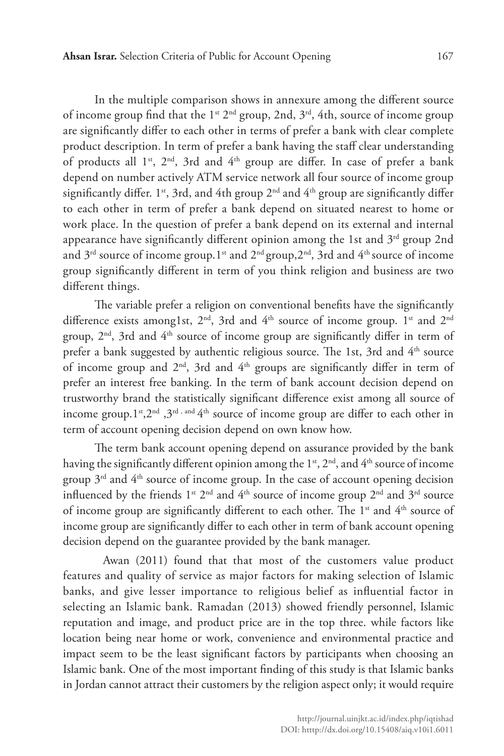In the multiple comparison shows in annexure among the different source of income group find that the 1<sup>st</sup>  $2<sup>nd</sup>$  group, 2nd,  $3<sup>rd</sup>$ , 4th, source of income group are significantly differ to each other in terms of prefer a bank with clear complete product description. In term of prefer a bank having the staff clear understanding of products all  $1^{st}$ ,  $2^{nd}$ ,  $3rd$  and  $4^{th}$  group are differ. In case of prefer a bank depend on number actively ATM service network all four source of income group significantly differ. 1<sup>st</sup>, 3rd, and 4th group  $2<sup>nd</sup>$  and  $4<sup>th</sup>$  group are significantly differ to each other in term of prefer a bank depend on situated nearest to home or work place. In the question of prefer a bank depend on its external and internal appearance have significantly different opinion among the 1st and  $3<sup>rd</sup>$  group 2nd

and  $3^{rd}$  source of income group. 1<sup>st</sup> and  $2^{nd}$  group,  $2^{nd}$ , 3rd and  $4^{th}$  source of income group significantly different in term of you think religion and business are two different things.

The variable prefer a religion on conventional benefits have the significantly difference exists among1st, 2<sup>nd</sup>, 3rd and 4<sup>th</sup> source of income group. 1<sup>st</sup> and 2<sup>nd</sup> group,  $2<sup>nd</sup>$ , 3rd and  $4<sup>th</sup>$  source of income group are significantly differ in term of prefer a bank suggested by authentic religious source. The 1st, 3rd and 4<sup>th</sup> source of income group and  $2<sup>nd</sup>$ , 3rd and  $4<sup>th</sup>$  groups are significantly differ in term of prefer an interest free banking. In the term of bank account decision depend on trustworthy brand the statistically significant difference exist among all source of income group.  $1^{st}$ ,  $2^{nd}$ ,  $3^{rd}$ , and  $4^{th}$  source of income group are differ to each other in term of account opening decision depend on own know how.

The term bank account opening depend on assurance provided by the bank having the significantly different opinion among the  $1<sup>st</sup>$ ,  $2<sup>nd</sup>$ , and  $4<sup>th</sup>$  source of income group  $3<sup>rd</sup>$  and  $4<sup>th</sup>$  source of income group. In the case of account opening decision influenced by the friends  $1^{st} 2^{nd}$  and  $4^{th}$  source of income group  $2^{nd}$  and  $3^{rd}$  source of income group are significantly different to each other. The 1<sup>st</sup> and 4<sup>th</sup> source of income group are significantly differ to each other in term of bank account opening decision depend on the guarantee provided by the bank manager.

Awan (2011) found that that most of the customers value product features and quality of service as major factors for making selection of Islamic banks, and give lesser importance to religious belief as influential factor in selecting an Islamic bank. Ramadan (2013) showed friendly personnel, Islamic reputation and image, and product price are in the top three. while factors like location being near home or work, convenience and environmental practice and impact seem to be the least significant factors by participants when choosing an Islamic bank. One of the most important finding of this study is that Islamic banks in Jordan cannot attract their customers by the religion aspect only; it would require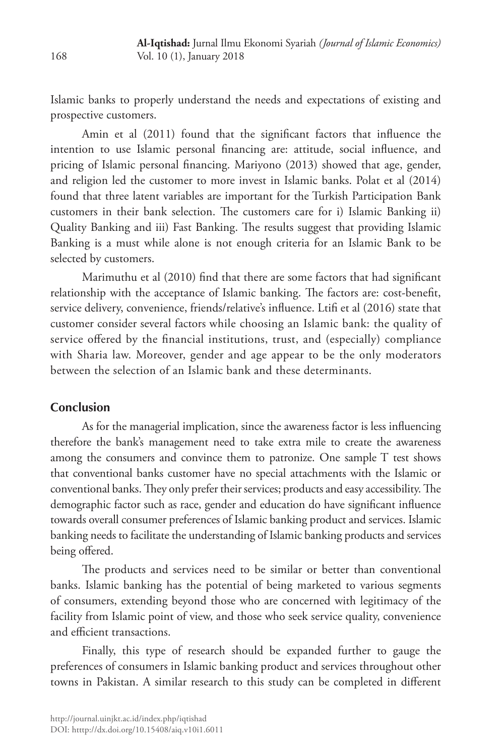Islamic banks to properly understand the needs and expectations of existing and prospective customers.

Amin et al (2011) found that the significant factors that influence the intention to use Islamic personal financing are: attitude, social influence, and pricing of Islamic personal financing. Mariyono (2013) showed that age, gender, and religion led the customer to more invest in Islamic banks. Polat et al (2014) found that three latent variables are important for the Turkish Participation Bank customers in their bank selection. The customers care for i) Islamic Banking ii) Quality Banking and iii) Fast Banking. The results suggest that providing Islamic Banking is a must while alone is not enough criteria for an Islamic Bank to be selected by customers.

Marimuthu et al (2010) find that there are some factors that had significant relationship with the acceptance of Islamic banking. The factors are: cost-benefit, service delivery, convenience, friends/relative's influence. Ltifi et al (2016) state that customer consider several factors while choosing an Islamic bank: the quality of service offered by the financial institutions, trust, and (especially) compliance with Sharia law. Moreover, gender and age appear to be the only moderators between the selection of an Islamic bank and these determinants.

# **Conclusion**

As for the managerial implication, since the awareness factor is less influencing therefore the bank's management need to take extra mile to create the awareness among the consumers and convince them to patronize. One sample T test shows that conventional banks customer have no special attachments with the Islamic or conventional banks. They only prefer their services; products and easy accessibility. The demographic factor such as race, gender and education do have significant influence towards overall consumer preferences of Islamic banking product and services. Islamic banking needs to facilitate the understanding of Islamic banking products and services being offered.

The products and services need to be similar or better than conventional banks. Islamic banking has the potential of being marketed to various segments of consumers, extending beyond those who are concerned with legitimacy of the facility from Islamic point of view, and those who seek service quality, convenience and efficient transactions.

Finally, this type of research should be expanded further to gauge the preferences of consumers in Islamic banking product and services throughout other towns in Pakistan. A similar research to this study can be completed in different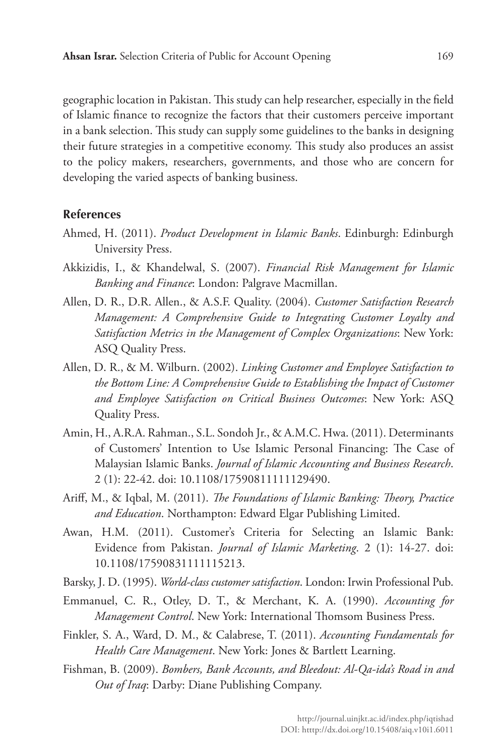geographic location in Pakistan. This study can help researcher, especially in the field of Islamic finance to recognize the factors that their customers perceive important in a bank selection. This study can supply some guidelines to the banks in designing their future strategies in a competitive economy. This study also produces an assist to the policy makers, researchers, governments, and those who are concern for developing the varied aspects of banking business.

#### **References**

- Ahmed, H. (2011). *Product Development in Islamic Banks*. Edinburgh: Edinburgh University Press.
- Akkizidis, I., & Khandelwal, S. (2007). *Financial Risk Management for Islamic Banking and Finance*: London: Palgrave Macmillan.
- Allen, D. R., D.R. Allen., & A.S.F. Quality. (2004). *Customer Satisfaction Research Management: A Comprehensive Guide to Integrating Customer Loyalty and Satisfaction Metrics in the Management of Complex Organizations*: New York: ASQ Quality Press.
- Allen, D. R., & M. Wilburn. (2002). *Linking Customer and Employee Satisfaction to the Bottom Line: A Comprehensive Guide to Establishing the Impact of Customer and Employee Satisfaction on Critical Business Outcomes*: New York: ASQ Quality Press.
- Amin, H., A.R.A. Rahman., S.L. Sondoh Jr., & A.M.C. Hwa. (2011). Determinants of Customers' Intention to Use Islamic Personal Financing: The Case of Malaysian Islamic Banks. *Journal of Islamic Accounting and Business Research*. 2 (1): 22-42. doi: 10.1108/17590811111129490.
- Ariff, M., & Iqbal, M. (2011). *The Foundations of Islamic Banking: Theory, Practice and Education*. Northampton: Edward Elgar Publishing Limited.
- Awan, H.M. (2011). Customer's Criteria for Selecting an Islamic Bank: Evidence from Pakistan. *Journal of Islamic Marketing*. 2 (1): 14-27. doi: 10.1108/17590831111115213.
- Barsky, J. D. (1995). *World-class customer satisfaction*. London: Irwin Professional Pub.
- Emmanuel, C. R., Otley, D. T., & Merchant, K. A. (1990). *Accounting for Management Control*. New York: International Thomsom Business Press.
- Finkler, S. A., Ward, D. M., & Calabrese, T. (2011). *Accounting Fundamentals for Health Care Management*. New York: Jones & Bartlett Learning.
- Fishman, B. (2009). *Bombers, Bank Accounts, and Bleedout: Al-Qa-ida's Road in and Out of Iraq*: Darby: Diane Publishing Company.